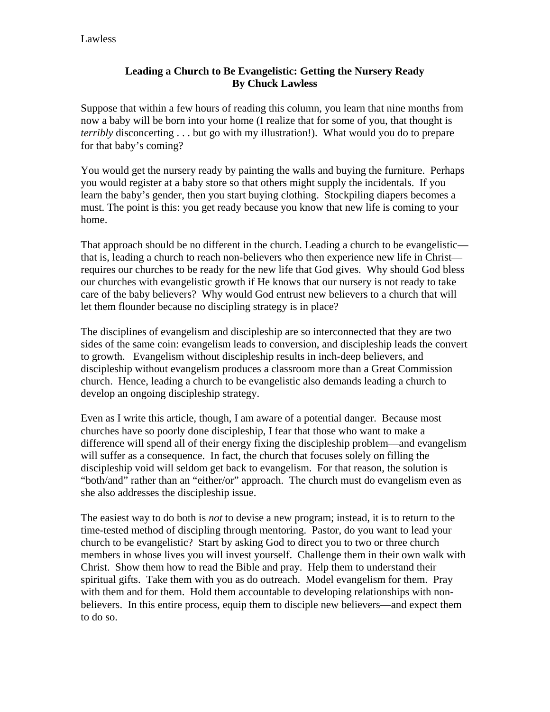## **Leading a Church to Be Evangelistic: Getting the Nursery Ready By Chuck Lawless**

Suppose that within a few hours of reading this column, you learn that nine months from now a baby will be born into your home (I realize that for some of you, that thought is *terribly* disconcerting . . . but go with my illustration!). What would you do to prepare for that baby's coming?

You would get the nursery ready by painting the walls and buying the furniture. Perhaps you would register at a baby store so that others might supply the incidentals. If you learn the baby's gender, then you start buying clothing. Stockpiling diapers becomes a must. The point is this: you get ready because you know that new life is coming to your home.

That approach should be no different in the church. Leading a church to be evangelistic that is, leading a church to reach non-believers who then experience new life in Christ requires our churches to be ready for the new life that God gives. Why should God bless our churches with evangelistic growth if He knows that our nursery is not ready to take care of the baby believers? Why would God entrust new believers to a church that will let them flounder because no discipling strategy is in place?

The disciplines of evangelism and discipleship are so interconnected that they are two sides of the same coin: evangelism leads to conversion, and discipleship leads the convert to growth. Evangelism without discipleship results in inch-deep believers, and discipleship without evangelism produces a classroom more than a Great Commission church. Hence, leading a church to be evangelistic also demands leading a church to develop an ongoing discipleship strategy.

Even as I write this article, though, I am aware of a potential danger. Because most churches have so poorly done discipleship, I fear that those who want to make a difference will spend all of their energy fixing the discipleship problem—and evangelism will suffer as a consequence. In fact, the church that focuses solely on filling the discipleship void will seldom get back to evangelism. For that reason, the solution is "both/and" rather than an "either/or" approach. The church must do evangelism even as she also addresses the discipleship issue.

The easiest way to do both is *not* to devise a new program; instead, it is to return to the time-tested method of discipling through mentoring. Pastor, do you want to lead your church to be evangelistic? Start by asking God to direct you to two or three church members in whose lives you will invest yourself. Challenge them in their own walk with Christ. Show them how to read the Bible and pray. Help them to understand their spiritual gifts. Take them with you as do outreach. Model evangelism for them. Pray with them and for them. Hold them accountable to developing relationships with nonbelievers. In this entire process, equip them to disciple new believers—and expect them to do so.